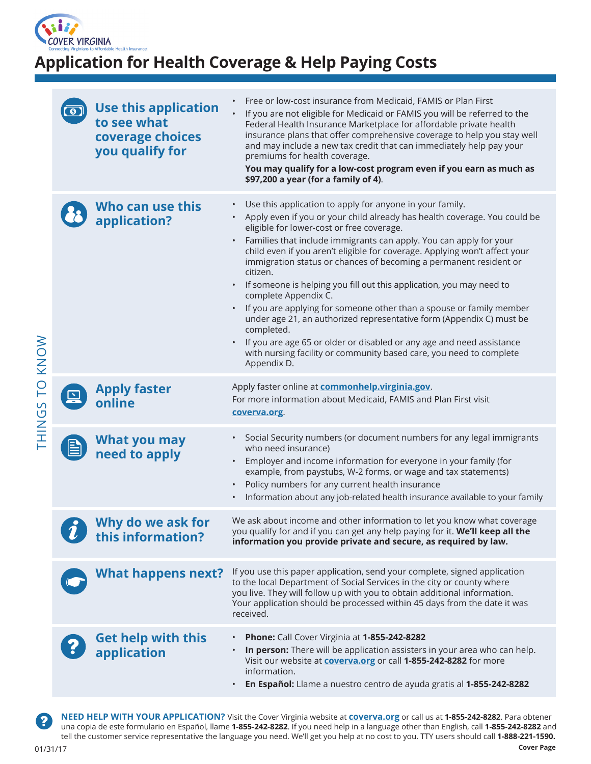

# **Application for Health Coverage & Help Paying Costs**

|                |   | <b>Use this application</b><br>to see what<br>coverage choices<br>you qualify for | Free or low-cost insurance from Medicaid, FAMIS or Plan First<br>If you are not eligible for Medicaid or FAMIS you will be referred to the<br>Federal Health Insurance Marketplace for affordable private health<br>insurance plans that offer comprehensive coverage to help you stay well<br>and may include a new tax credit that can immediately help pay your<br>premiums for health coverage.<br>You may qualify for a low-cost program even if you earn as much as<br>\$97,200 a year (for a family of 4).                                                                                                                                                                                                                                                                                                                                                 |
|----------------|---|-----------------------------------------------------------------------------------|-------------------------------------------------------------------------------------------------------------------------------------------------------------------------------------------------------------------------------------------------------------------------------------------------------------------------------------------------------------------------------------------------------------------------------------------------------------------------------------------------------------------------------------------------------------------------------------------------------------------------------------------------------------------------------------------------------------------------------------------------------------------------------------------------------------------------------------------------------------------|
| THINGS TO KNOW |   | Who can use this<br>application?                                                  | Use this application to apply for anyone in your family.<br>Apply even if you or your child already has health coverage. You could be<br>eligible for lower-cost or free coverage.<br>Families that include immigrants can apply. You can apply for your<br>$\bullet$<br>child even if you aren't eligible for coverage. Applying won't affect your<br>immigration status or chances of becoming a permanent resident or<br>citizen.<br>If someone is helping you fill out this application, you may need to<br>complete Appendix C.<br>If you are applying for someone other than a spouse or family member<br>under age 21, an authorized representative form (Appendix C) must be<br>completed.<br>If you are age 65 or older or disabled or any age and need assistance<br>with nursing facility or community based care, you need to complete<br>Appendix D. |
|                | 旦 | <b>Apply faster</b><br>online                                                     | Apply faster online at <b>commonhelp.virginia.gov</b> .<br>For more information about Medicaid, FAMIS and Plan First visit<br>coverva.org.                                                                                                                                                                                                                                                                                                                                                                                                                                                                                                                                                                                                                                                                                                                        |
|                |   | <b>What you may</b><br>need to apply                                              | Social Security numbers (or document numbers for any legal immigrants<br>who need insurance)<br>Employer and income information for everyone in your family (for<br>$\bullet$<br>example, from paystubs, W-2 forms, or wage and tax statements)<br>Policy numbers for any current health insurance<br>Information about any job-related health insurance available to your family<br>$\bullet$                                                                                                                                                                                                                                                                                                                                                                                                                                                                    |
|                |   | Why do we ask for<br>this information?                                            | We ask about income and other information to let you know what coverage<br>you qualify for and if you can get any help paying for it. We'll keep all the<br>information you provide private and secure, as required by law.                                                                                                                                                                                                                                                                                                                                                                                                                                                                                                                                                                                                                                       |
|                |   | <b>What happens next?</b>                                                         | If you use this paper application, send your complete, signed application<br>to the local Department of Social Services in the city or county where<br>you live. They will follow up with you to obtain additional information.<br>Your application should be processed within 45 days from the date it was<br>received.                                                                                                                                                                                                                                                                                                                                                                                                                                                                                                                                          |
|                |   | <b>Get help with this</b><br>application                                          | Phone: Call Cover Virginia at 1-855-242-8282<br>In person: There will be application assisters in your area who can help.<br>Visit our website at <b>coverva.org</b> or call 1-855-242-8282 for more<br>information.<br>En Español: Llame a nuestro centro de ayuda gratis al 1-855-242-8282                                                                                                                                                                                                                                                                                                                                                                                                                                                                                                                                                                      |

**NEED HELP WITH YOUR APPLICATION?** Visit the Cover Virginia website at **coverva.org** or call us at **1-855-242-8282**. Para obtener una copia de este formulario en Español, llame **1-855-242-8282**. If you need help in a language other than English, call **1-855-242-8282** and tell the customer service representative the language you need. We'll get you help at no cost to you. TTY users should call **1-888-221-1590.** 

?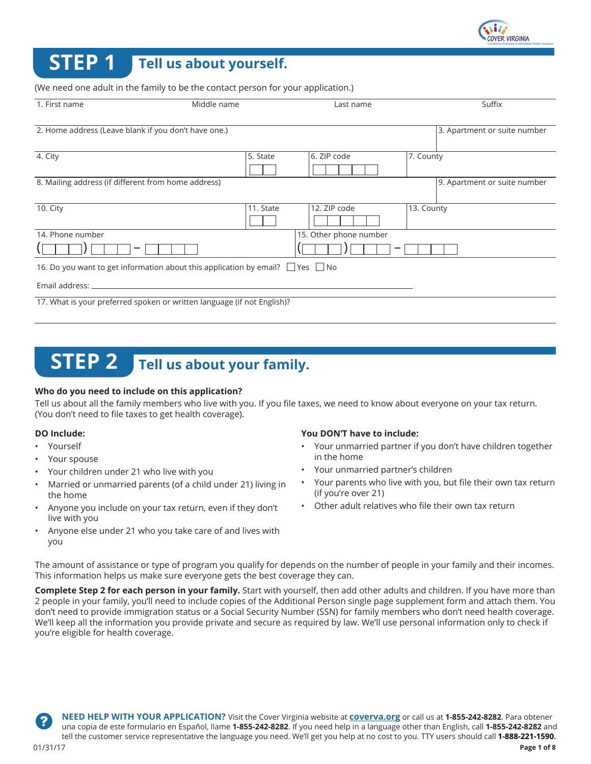

#### **STEP 1 Tell us about yourself.**

(We need one adult in the family to be the contact person for your application.)

| 1. First name                                                                            | Middle name | Last name              | Suffix                       |
|------------------------------------------------------------------------------------------|-------------|------------------------|------------------------------|
| 2. Home address (Leave blank if you don't have one.)                                     |             |                        | 3. Apartment or suite number |
| 4. City                                                                                  | 5. State    | 6. ZIP code            | 7. County                    |
| 8. Mailing address (if different from home address)                                      |             |                        | 9. Apartment or suite number |
| 10. City                                                                                 | 11. State   | 12. ZIP code           | 13. County                   |
| 14. Phone number                                                                         |             | 15. Other phone number |                              |
|                                                                                          |             |                        |                              |
| 16. Do you want to get information about this application by email? $\Box$ Yes $\Box$ No |             |                        |                              |
| Email address:                                                                           |             |                        |                              |
| 17. What is your preferred spoken or written language (if not English)?                  |             |                        |                              |

# **STEP 2 Tell us about your family.**

#### **Who do you need to include on this application?**

Tell us about all the family members who live with you. If you file taxes, we need to know about everyone on your tax return. (You don't need to file taxes to get health coverage).

#### **DO Include:**

- Yourself
- Your spouse
- Your children under 21 who live with you
- Married or unmarried parents (of a child under 21) living in the home
- Anyone you include on your tax return, even if they don't live with you
- • Anyone else under 21 who you take care of and lives with you

#### **You DON'T have to include:**

- Your unmarried partner if you don't have children together in the home
- • Your unmarried partner's children
- Your parents who live with you, but file their own tax return (if you're over 21)
- Other adult relatives who file their own tax return

The amount of assistance or type of program you qualify for depends on the number of people in your family and their incomes. This information helps us make sure everyone gets the best coverage they can.

**Complete Step 2 for each person in your family.** Start with yourself, then add other adults and children. If you have more than 2 people in your family, you'll need to include copies of the Additional Person single page supplement form and attach them. You don't need to provide immigration status or a Social Security Number (SSN) for family members who don't need health coverage. We'll keep all the information you provide private and secure as required by law. We'll use personal information only to check if you're eligible for health coverage.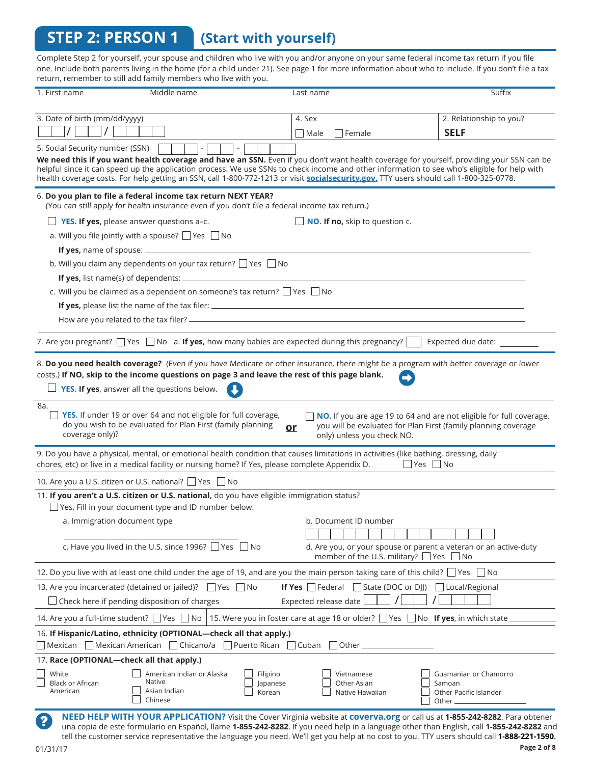## **STEP 2: PERSON 1 (Start with yourself)**

Complete Step 2 for yourself, your spouse and children who live with you and/or anyone on your same federal income tax return if you file one. Include both parents living in the home (for a child under 21). See page 1 for more information about who to include. If you don't file a tax return, remember to still add family members who live with you.

| 1. First name                                | Middle name                                                                                                                                                                           | Last name                                                                                                                                                                                                                            | Suffix                                                                                                                                                                                                                                                                                                                                                                                                                  |
|----------------------------------------------|---------------------------------------------------------------------------------------------------------------------------------------------------------------------------------------|--------------------------------------------------------------------------------------------------------------------------------------------------------------------------------------------------------------------------------------|-------------------------------------------------------------------------------------------------------------------------------------------------------------------------------------------------------------------------------------------------------------------------------------------------------------------------------------------------------------------------------------------------------------------------|
| 3. Date of birth (mm/dd/yyyy)                |                                                                                                                                                                                       | 4. Sex                                                                                                                                                                                                                               | 2. Relationship to you?                                                                                                                                                                                                                                                                                                                                                                                                 |
|                                              |                                                                                                                                                                                       | $\Box$ Female<br>l lMale                                                                                                                                                                                                             | <b>SELF</b>                                                                                                                                                                                                                                                                                                                                                                                                             |
| 5. Social Security number (SSN)              |                                                                                                                                                                                       | health coverage costs. For help getting an SSN, call 1-800-772-1213 or visit socialsecurity.gov. TTY users should call 1-800-325-0778.                                                                                               | We need this if you want health coverage and have an SSN. Even if you don't want health coverage for yourself, providing your SSN can be<br>helpful since it can speed up the application process. We use SSNs to check income and other information to see who's eligible for help with                                                                                                                                |
|                                              | 6. Do you plan to file a federal income tax return NEXT YEAR?<br>(You can still apply for health insurance even if you don't file a federal income tax return.)                       |                                                                                                                                                                                                                                      |                                                                                                                                                                                                                                                                                                                                                                                                                         |
| $\mathsf{L}$                                 | YES. If yes, please answer questions a-c.                                                                                                                                             | NO. If no, skip to question c.                                                                                                                                                                                                       |                                                                                                                                                                                                                                                                                                                                                                                                                         |
|                                              | a. Will you file jointly with a spouse? $\Box$ Yes $\Box$ No                                                                                                                          |                                                                                                                                                                                                                                      |                                                                                                                                                                                                                                                                                                                                                                                                                         |
|                                              |                                                                                                                                                                                       |                                                                                                                                                                                                                                      |                                                                                                                                                                                                                                                                                                                                                                                                                         |
|                                              | b. Will you claim any dependents on your tax return? $\Box$ Yes $\Box$ No                                                                                                             |                                                                                                                                                                                                                                      |                                                                                                                                                                                                                                                                                                                                                                                                                         |
|                                              |                                                                                                                                                                                       |                                                                                                                                                                                                                                      |                                                                                                                                                                                                                                                                                                                                                                                                                         |
|                                              | c. Will you be claimed as a dependent on someone's tax return? $\Box$ Yes $\Box$ No                                                                                                   |                                                                                                                                                                                                                                      |                                                                                                                                                                                                                                                                                                                                                                                                                         |
|                                              |                                                                                                                                                                                       | If yes, please list the name of the tax filer: <b>All and the contract of the set of the contract of the contract of the contract of the contract of the contract of the contract of the contract of the contract of the contrac</b> |                                                                                                                                                                                                                                                                                                                                                                                                                         |
|                                              |                                                                                                                                                                                       |                                                                                                                                                                                                                                      |                                                                                                                                                                                                                                                                                                                                                                                                                         |
|                                              |                                                                                                                                                                                       | 7. Are you pregnant? $\Box$ Yes $\Box$ No a. If yes, how many babies are expected during this pregnancy?                                                                                                                             | Expected due date:                                                                                                                                                                                                                                                                                                                                                                                                      |
| 8a.<br>coverage only)?                       | $\Box$ YES. If yes, answer all the questions below.<br>YES. If under 19 or over 64 and not eligible for full coverage,<br>do you wish to be evaluated for Plan First (family planning | <u>or</u><br>only) unless you check NO.<br>9. Do you have a physical, mental, or emotional health condition that causes limitations in activities (like bathing, dressing, daily                                                     | NO. If you are age 19 to 64 and are not eligible for full coverage,<br>you will be evaluated for Plan First (family planning coverage                                                                                                                                                                                                                                                                                   |
|                                              |                                                                                                                                                                                       | chores, etc) or live in a medical facility or nursing home? If Yes, please complete Appendix D.                                                                                                                                      | $\Box$ Yes $\Box$ No                                                                                                                                                                                                                                                                                                                                                                                                    |
|                                              | 10. Are you a U.S. citizen or U.S. national? □ Yes □ No                                                                                                                               |                                                                                                                                                                                                                                      |                                                                                                                                                                                                                                                                                                                                                                                                                         |
|                                              | 11. If you aren't a U.S. citizen or U.S. national, do you have eligible immigration status?<br>$\Box$ Yes. Fill in your document type and ID number below.                            |                                                                                                                                                                                                                                      |                                                                                                                                                                                                                                                                                                                                                                                                                         |
| a. Immigration document type                 |                                                                                                                                                                                       | b. Document ID number                                                                                                                                                                                                                |                                                                                                                                                                                                                                                                                                                                                                                                                         |
|                                              | c. Have you lived in the U.S. since 1996? $\Box$ Yes $\Box$ No                                                                                                                        |                                                                                                                                                                                                                                      | d. Are you, or your spouse or parent a veteran or an active-duty<br>member of the U.S. military? □ Yes □ No                                                                                                                                                                                                                                                                                                             |
|                                              |                                                                                                                                                                                       | 12. Do you live with at least one child under the age of 19, and are you the main person taking care of this child? $\Box$ Yes $\Box$ No                                                                                             |                                                                                                                                                                                                                                                                                                                                                                                                                         |
|                                              | 13. Are you incarcerated (detained or jailed)? □ Yes □ No<br>$\Box$ Check here if pending disposition of charges                                                                      | If Yes $\Box$ Federal<br>Expected release date                                                                                                                                                                                       | State (DOC or DJJ)<br>$\Box$ Local/Regional                                                                                                                                                                                                                                                                                                                                                                             |
|                                              |                                                                                                                                                                                       | 14. Are you a full-time student? □ Yes □ No   15. Were you in foster care at age 18 or older? □ Yes □ No <b>If yes</b> , in which state _                                                                                            |                                                                                                                                                                                                                                                                                                                                                                                                                         |
|                                              | 16. If Hispanic/Latino, ethnicity (OPTIONAL-check all that apply.)<br>$\Box$ Mexican $\Box$ Mexican American $\Box$ Chicano/a $\Box$ Puerto Rican $\Box$ Cuban $\Box$ Other $\Box$    |                                                                                                                                                                                                                                      |                                                                                                                                                                                                                                                                                                                                                                                                                         |
| 17. Race (OPTIONAL-check all that apply.)    |                                                                                                                                                                                       |                                                                                                                                                                                                                                      |                                                                                                                                                                                                                                                                                                                                                                                                                         |
| White<br><b>Black or African</b><br>American | American Indian or Alaska<br>Native<br>Asian Indian<br>Chinese                                                                                                                        | Filipino<br>Vietnamese<br>Other Asian<br>Japanese<br>Korean<br>Native Hawaiian                                                                                                                                                       | Guamanian or Chamorro<br>Samoan<br>Other Pacific Islander<br>Other                                                                                                                                                                                                                                                                                                                                                      |
| $\left[ 2\right]$                            |                                                                                                                                                                                       |                                                                                                                                                                                                                                      | NEED HELP WITH YOUR APPLICATION? Visit the Cover Virginia website at coverva.org or call us at 1-855-242-8282. Para obtener<br>una copia de este formulario en Español, llame 1-855-242-8282. If you need help in a language other than English, call 1-855-242-8282 and<br>tell the customer service representative the language you need. We'll get you help at no cost to you. TTY users should call 1-888-221-1590. |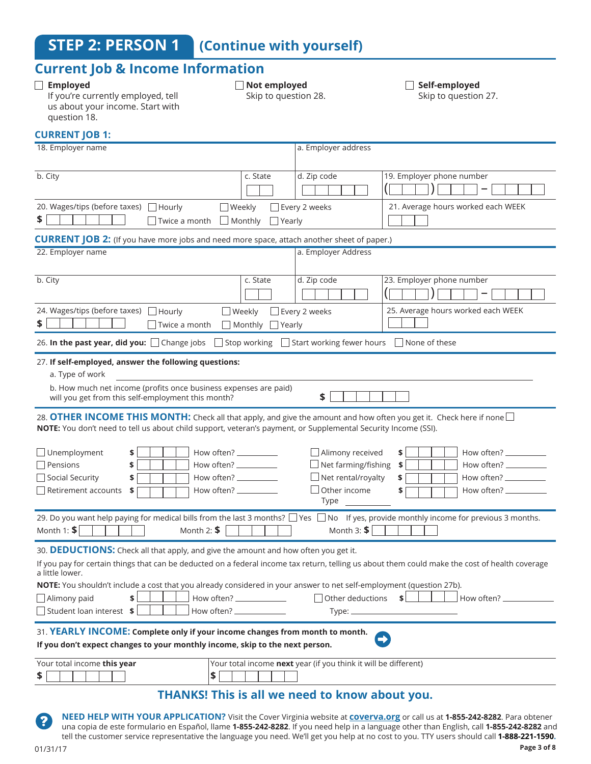### **Current Job & Income Information**

#### **Employed**

#### **Not employed**

Skip to question 28.

**Self-employed**  Skip to question 27.

If you're currently employed, tell us about your income. Start with question 18..

### **CURRENT JOB 1:**

| 18. Employer name                                                                                                                                                                                                                            | a. Employer address                                             |                                    |  |  |  |  |  |  |
|----------------------------------------------------------------------------------------------------------------------------------------------------------------------------------------------------------------------------------------------|-----------------------------------------------------------------|------------------------------------|--|--|--|--|--|--|
| b. City<br>c. State                                                                                                                                                                                                                          | d. Zip code                                                     | 19. Employer phone number          |  |  |  |  |  |  |
|                                                                                                                                                                                                                                              |                                                                 |                                    |  |  |  |  |  |  |
| 20. Wages/tips (before taxes) □ Hourly<br>□ Weekly                                                                                                                                                                                           | Every 2 weeks                                                   | 21. Average hours worked each WEEK |  |  |  |  |  |  |
| \$<br>$\Box$ Monthly<br>Twice a month<br>$\Box$ Yearly                                                                                                                                                                                       |                                                                 |                                    |  |  |  |  |  |  |
| <b>CURRENT JOB 2:</b> (If you have more jobs and need more space, attach another sheet of paper.)                                                                                                                                            |                                                                 |                                    |  |  |  |  |  |  |
| 22. Employer name                                                                                                                                                                                                                            | a. Employer Address                                             |                                    |  |  |  |  |  |  |
| b. City<br>c. State                                                                                                                                                                                                                          | d. Zip code                                                     | 23. Employer phone number          |  |  |  |  |  |  |
|                                                                                                                                                                                                                                              |                                                                 |                                    |  |  |  |  |  |  |
| 24. Wages/tips (before taxes) Hourly<br>$\Box$ Weekly                                                                                                                                                                                        | $\Box$ Every 2 weeks                                            | 25. Average hours worked each WEEK |  |  |  |  |  |  |
| \$<br>$\Box$ Twice a month<br>$\Box$ Monthly $\Box$ Yearly                                                                                                                                                                                   |                                                                 |                                    |  |  |  |  |  |  |
| 26. In the past year, did you: □ Change jobs □ Stop working □ Start working fewer hours □ None of these                                                                                                                                      |                                                                 |                                    |  |  |  |  |  |  |
| 27. If self-employed, answer the following questions:<br>a. Type of work                                                                                                                                                                     |                                                                 |                                    |  |  |  |  |  |  |
| b. How much net income (profits once business expenses are paid)                                                                                                                                                                             |                                                                 |                                    |  |  |  |  |  |  |
| \$<br>will you get from this self-employment this month?                                                                                                                                                                                     |                                                                 |                                    |  |  |  |  |  |  |
| 28. OTHER INCOME THIS MONTH: Check all that apply, and give the amount and how often you get it. Check here if none $\Box$<br>NOTE: You don't need to tell us about child support, veteran's payment, or Supplemental Security Income (SSI). |                                                                 |                                    |  |  |  |  |  |  |
| How often? __________<br>$\Box$ Unemployment<br>\$                                                                                                                                                                                           | Alimony received                                                | \$                                 |  |  |  |  |  |  |
| $\Box$ Pensions<br>\$<br>How often? ___________                                                                                                                                                                                              | $\Box$ Net farming/fishing                                      | How often? ___________<br>\$       |  |  |  |  |  |  |
| Social Security<br>\$<br>How often? $\_\_\_\_\_\_\_\_\_\_\_\_\_\_\_$                                                                                                                                                                         | $\Box$ Net rental/royalty                                       | How often? ___________<br>\$       |  |  |  |  |  |  |
| $\Box$ Retirement accounts<br>\$<br>How often? $\_\_$                                                                                                                                                                                        | $\Box$ Other income                                             | \$<br>How often? ____________      |  |  |  |  |  |  |
|                                                                                                                                                                                                                                              | Type                                                            |                                    |  |  |  |  |  |  |
| 29. Do you want help paying for medical bills from the last 3 months? □ Yes □ No If yes, provide monthly income for previous 3 months.<br>Month 1: $$$<br>Month 2: $$$<br>Month 3: $$$                                                       |                                                                 |                                    |  |  |  |  |  |  |
| 30. DEDUCTIONS: Check all that apply, and give the amount and how often you get it.                                                                                                                                                          |                                                                 |                                    |  |  |  |  |  |  |
| If you pay for certain things that can be deducted on a federal income tax return, telling us about them could make the cost of health coverage                                                                                              |                                                                 |                                    |  |  |  |  |  |  |
| a little lower.                                                                                                                                                                                                                              |                                                                 |                                    |  |  |  |  |  |  |
| NOTE: You shouldn't include a cost that you already considered in your answer to net self-employment (question 27b).<br>$\vert$<br>Alimony paid<br>\$<br>How often? _____________<br>$\exists$ Other deductions<br>How often? __             |                                                                 |                                    |  |  |  |  |  |  |
| $\Box$ Student loan interest \$<br>How often? _____________                                                                                                                                                                                  |                                                                 |                                    |  |  |  |  |  |  |
|                                                                                                                                                                                                                                              |                                                                 |                                    |  |  |  |  |  |  |
| 31. YEARLY INCOME: Complete only if your income changes from month to month.<br>If you don't expect changes to your monthly income, skip to the next person.                                                                                 |                                                                 |                                    |  |  |  |  |  |  |
| Your total income this year                                                                                                                                                                                                                  | Your total income next year (if you think it will be different) |                                    |  |  |  |  |  |  |
| \$<br>S                                                                                                                                                                                                                                      |                                                                 |                                    |  |  |  |  |  |  |
| THANKS This is all we need to know about you                                                                                                                                                                                                 |                                                                 |                                    |  |  |  |  |  |  |

### **THANKS! This is all we need to know about you.**

**NEED HELP WITH YOUR APPLICATION?** Visit the Cover Virginia website at **coverva.org** or call us at **1-855-242-8282**. Para obtener una copia de este formulario en Español, llame **1-855-242-8282**. If you need help in a language other than English, call **1-855-242-8282** and tell the customer service representative the language you need. We'll get you help at no cost to you. TTY users should call **1-888-221-1590.**

 $\overline{\mathbf{?}}$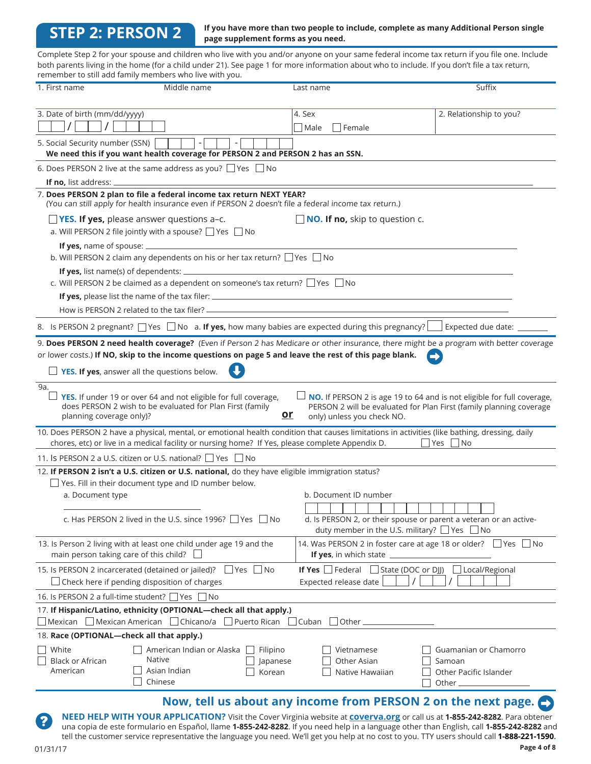## **STEP 2: PERSON 2**

#### **If you have more than two people to include, complete as many Additional Person single page supplement forms as you need.**

Complete Step 2 for your spouse and children who live with you and/or anyone on your same federal income tax return if you file one. Include both parents living in the home (for a child under 21). See page 1 for more information about who to include. If you don't file a tax return, remember to still add family members who live with you.

| 1. First name                                                | Middle name                                                                                                                                                                   | Last name                                            | Suffix                                                                                                                                        |
|--------------------------------------------------------------|-------------------------------------------------------------------------------------------------------------------------------------------------------------------------------|------------------------------------------------------|-----------------------------------------------------------------------------------------------------------------------------------------------|
|                                                              |                                                                                                                                                                               |                                                      |                                                                                                                                               |
| 3. Date of birth (mm/dd/yyyy)                                |                                                                                                                                                                               | 4. Sex                                               | 2. Relationship to you?                                                                                                                       |
| $\prime$                                                     |                                                                                                                                                                               | $\Box$ Male<br>$\Box$ Female                         |                                                                                                                                               |
| 5. Social Security number (SSN)                              | We need this if you want health coverage for PERSON 2 and PERSON 2 has an SSN.                                                                                                |                                                      |                                                                                                                                               |
|                                                              | 6. Does PERSON 2 live at the same address as you? $\Box$ Yes $\Box$ No                                                                                                        |                                                      |                                                                                                                                               |
| If no, list address:                                         |                                                                                                                                                                               |                                                      |                                                                                                                                               |
|                                                              | 7. Does PERSON 2 plan to file a federal income tax return NEXT YEAR?<br>(You can still apply for health insurance even if PERSON 2 doesn't file a federal income tax return.) |                                                      |                                                                                                                                               |
|                                                              | $\Box$ YES. If yes, please answer questions a-c.<br>a. Will PERSON 2 file jointly with a spouse? $\Box$ Yes $\Box$ No                                                         | $\Box$ NO. If no, skip to question c.                |                                                                                                                                               |
|                                                              | b. Will PERSON 2 claim any dependents on his or her tax return? $\Box$ Yes $\Box$ No                                                                                          |                                                      |                                                                                                                                               |
| If yes, list name(s) of dependents: $\overline{\phantom{a}}$ |                                                                                                                                                                               |                                                      |                                                                                                                                               |
|                                                              | c. Will PERSON 2 be claimed as a dependent on someone's tax return? $\Box$ Yes $\Box$ No                                                                                      |                                                      |                                                                                                                                               |
|                                                              |                                                                                                                                                                               |                                                      |                                                                                                                                               |
|                                                              | How is PERSON 2 related to the tax filer? -                                                                                                                                   |                                                      |                                                                                                                                               |
|                                                              | 8. Is PERSON 2 pregnant? $\Box$ Yes $\Box$ No a. If yes, how many babies are expected during this pregnancy?                                                                  |                                                      | Expected due date:                                                                                                                            |
|                                                              |                                                                                                                                                                               |                                                      | 9. Does PERSON 2 need health coverage? (Even if Person 2 has Medicare or other insurance, there might be a program with better coverage       |
|                                                              | or lower costs.) If NO, skip to the income questions on page 5 and leave the rest of this page blank.                                                                         |                                                      |                                                                                                                                               |
|                                                              | $\Box$ YES. If yes, answer all the questions below.                                                                                                                           |                                                      |                                                                                                                                               |
| 9a.                                                          |                                                                                                                                                                               |                                                      |                                                                                                                                               |
|                                                              | YES. If under 19 or over 64 and not eligible for full coverage,<br>does PERSON 2 wish to be evaluated for Plan First (family                                                  |                                                      | NO. If PERSON 2 is age 19 to 64 and is not eligible for full coverage,<br>PERSON 2 will be evaluated for Plan First (family planning coverage |
| planning coverage only)?                                     |                                                                                                                                                                               | <u>or</u><br>only) unless you check NO.              |                                                                                                                                               |
|                                                              |                                                                                                                                                                               |                                                      | 10. Does PERSON 2 have a physical, mental, or emotional health condition that causes limitations in activities (like bathing, dressing, daily |
|                                                              | chores, etc) or live in a medical facility or nursing home? If Yes, please complete Appendix D.                                                                               |                                                      | Yes No                                                                                                                                        |
|                                                              | 11. Is PERSON 2 a U.S. citizen or U.S. national? Yes No                                                                                                                       |                                                      |                                                                                                                                               |
|                                                              | 12. If PERSON 2 isn't a U.S. citizen or U.S. national, do they have eligible immigration status?                                                                              |                                                      |                                                                                                                                               |
|                                                              | Yes. Fill in their document type and ID number below.                                                                                                                         |                                                      |                                                                                                                                               |
| a. Document type                                             |                                                                                                                                                                               | b. Document ID number                                |                                                                                                                                               |
|                                                              | c. Has PERSON 2 lived in the U.S. since 1996? □ Yes □ No                                                                                                                      |                                                      | d. Is PERSON 2, or their spouse or parent a veteran or an active-                                                                             |
|                                                              |                                                                                                                                                                               |                                                      | duty member in the U.S. military? $\Box$ Yes $\Box$ No                                                                                        |
| main person taking care of this child?                       | 13. Is Person 2 living with at least one child under age 19 and the                                                                                                           | If yes, in which state                               | 14. Was PERSON 2 in foster care at age 18 or older? □ Yes □ No                                                                                |
|                                                              | 15. Is PERSON 2 incarcerated (detained or jailed)? □ Yes □ No                                                                                                                 | <b>If Yes</b> $\Box$ Federal                         | State (DOC or DJJ)<br>Local/Regional                                                                                                          |
|                                                              | $\Box$ Check here if pending disposition of charges                                                                                                                           | Expected release date                                |                                                                                                                                               |
| 16. Is PERSON 2 a full-time student? $\Box$ Yes $\Box$ No    |                                                                                                                                                                               |                                                      |                                                                                                                                               |
|                                                              | 17. If Hispanic/Latino, ethnicity (OPTIONAL-check all that apply.)                                                                                                            |                                                      |                                                                                                                                               |
| Mexican                                                      | $\Box$ Mexican American $\Box$ Chicano/a                                                                                                                                      | Puerto Rican $\Box$ Cuban<br>  Other                 |                                                                                                                                               |
| 18. Race (OPTIONAL-check all that apply.)                    |                                                                                                                                                                               |                                                      |                                                                                                                                               |
| White                                                        | American Indian or Alaska<br><b>Native</b>                                                                                                                                    | Filipino<br>Vietnamese                               | Guamanian or Chamorro                                                                                                                         |
| <b>Black or African</b><br>American                          | Asian Indian                                                                                                                                                                  | Other Asian<br>Japanese<br>Korean<br>Native Hawaiian | Samoan<br>Other Pacific Islander                                                                                                              |
|                                                              | Chinese                                                                                                                                                                       |                                                      | Other.                                                                                                                                        |
|                                                              |                                                                                                                                                                               |                                                      | Now, tell us about any income from PERSON 2 on the next page. $\epsilon$                                                                      |
|                                                              | <b>EED HELD WITH VOLID ADDLICATION?</b> Vicit the Cover Virginia website                                                                                                      |                                                      |                                                                                                                                               |

**NEED HELP WITH YOUR APPLICATION?** Visit the Cover Virginia website at **coverva.org** or call us at **1-855-242-8282**. Para obtener K. una copia de este formulario en Español, llame **1-855-242-8282**. If you need help in a language other than English, call **1-855-242-8282** and tell the customer service representative the language you need. We'll get you help at no cost to you. TTY users should call **1-888-221-1590. Page 4 of 8**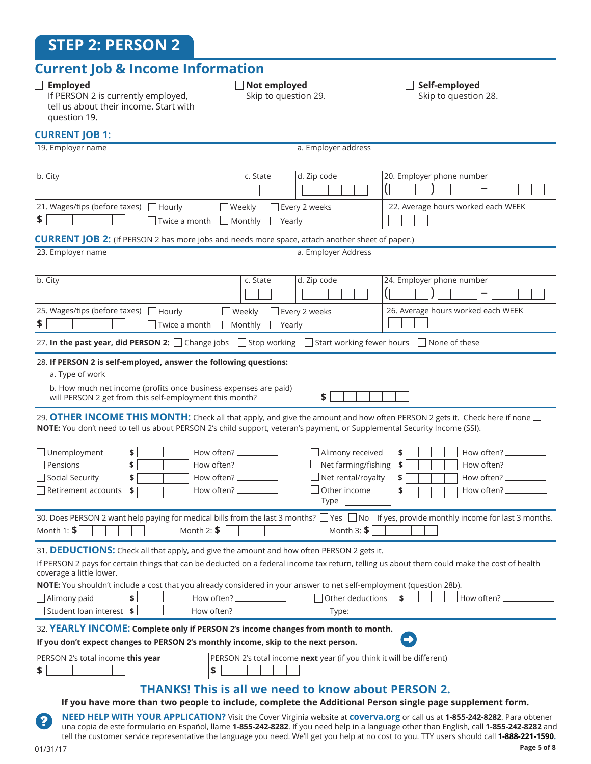### **Current Job & Income Information**

19. Employer name and all the set of the set of the set of the set of the set of the set of the set of the set of the set of the set of the set of the set of the set of the set of the set of the set of the set of the set o

#### **Employed**

**CURRENT JOB 1:**

**Not employed** 

Skip to question 29.

**Self-employed**  Skip to question 28.

If PERSON 2 is currently employed, tell us about their income. Start with question 19..

| b. City                                                                                                                                                                                                                                                       | c. State                        | d. Zip code                 | 20. Employer phone number          |  |  |  |  |  |
|---------------------------------------------------------------------------------------------------------------------------------------------------------------------------------------------------------------------------------------------------------------|---------------------------------|-----------------------------|------------------------------------|--|--|--|--|--|
|                                                                                                                                                                                                                                                               |                                 |                             |                                    |  |  |  |  |  |
| 21. Wages/tips (before taxes) □ Hourly<br>□ Weekly                                                                                                                                                                                                            |                                 | Every 2 weeks               | 22. Average hours worked each WEEK |  |  |  |  |  |
| \$<br>Twice a month<br>$\Box$ Monthly                                                                                                                                                                                                                         | $\Box$ Yearly                   |                             |                                    |  |  |  |  |  |
| <b>CURRENT JOB 2:</b> (If PERSON 2 has more jobs and needs more space, attach another sheet of paper.)                                                                                                                                                        |                                 |                             |                                    |  |  |  |  |  |
| 23. Employer name                                                                                                                                                                                                                                             |                                 | a. Employer Address         |                                    |  |  |  |  |  |
| b. City                                                                                                                                                                                                                                                       | c. State                        | d. Zip code                 | 24. Employer phone number          |  |  |  |  |  |
| 25. Wages/tips (before taxes) □ Hourly<br>$\Box$ Weekly<br>\$<br>Twice a month                                                                                                                                                                                | $\Box$ Monthly<br>$\Box$ Yearly | Every 2 weeks               | 26. Average hours worked each WEEK |  |  |  |  |  |
| 27. In the past year, did PERSON 2: $\Box$ Change jobs $\Box$ Stop working $\Box$ Start working fewer hours<br>None of these                                                                                                                                  |                                 |                             |                                    |  |  |  |  |  |
| 28. If PERSON 2 is self-employed, answer the following questions:<br>a. Type of work                                                                                                                                                                          |                                 |                             |                                    |  |  |  |  |  |
| b. How much net income (profits once business expenses are paid)<br>will PERSON 2 get from this self-employment this month?                                                                                                                                   |                                 | \$                          |                                    |  |  |  |  |  |
| 29. OTHER INCOME THIS MONTH: Check all that apply, and give the amount and how often PERSON 2 gets it. Check here if none $\Box$<br>NOTE: You don't need to tell us about PERSON 2's child support, veteran's payment, or Supplemental Security Income (SSI). |                                 |                             |                                    |  |  |  |  |  |
| How often? $\frac{1}{2}$<br>$\Box$ Unemployment<br>\$                                                                                                                                                                                                         |                                 |                             |                                    |  |  |  |  |  |
|                                                                                                                                                                                                                                                               |                                 | Alimony received            | \$                                 |  |  |  |  |  |
| $\Box$ Pensions<br>How often? __________<br>\$                                                                                                                                                                                                                |                                 | $\Box$ Net farming/fishing  | How often? __________<br>\$        |  |  |  |  |  |
| Social Security<br>How often? ___________<br>\$                                                                                                                                                                                                               |                                 | $\Box$ Net rental/royalty   | How often? ___________<br>\$       |  |  |  |  |  |
| $\Box$ Retirement accounts<br>How often? ____________<br>\$                                                                                                                                                                                                   |                                 | $\Box$ Other income<br>Type | How often? ___________<br>\$       |  |  |  |  |  |
| 30. Does PERSON 2 want help paying for medical bills from the last 3 months? $\Box$ Yes $\Box$ No If yes, provide monthly income for last 3 months.<br>Month 1: $$$<br>Month 2: $$$                                                                           |                                 | Month $3:$ \$               |                                    |  |  |  |  |  |

31. **DEDUCTIONS:** Check all that apply, and give the amount and how often PERSON 2 gets it.

If PERSON 2 pays for certain things that can be deducted on a federal income tax return, telling us about them could make the cost of health coverage a little lower.

**NOTE:** You shouldn't include a cost that you already considered in your answer to net self-employment (question 28b).

| Alimony paid                                                                                                                                                             | How often? $\sqrt{2\pi}$<br>Other deductions                          | $\vert$ How often? $\_\_$<br>S. |  |  |  |  |  |
|--------------------------------------------------------------------------------------------------------------------------------------------------------------------------|-----------------------------------------------------------------------|---------------------------------|--|--|--|--|--|
| $\Box$ Student loan interest $\vert \cdot \vert$                                                                                                                         | How often?<br>Tvpe: __                                                |                                 |  |  |  |  |  |
| 32. YEARLY INCOME: Complete only if PERSON 2's income changes from month to month.<br>If you don't expect changes to PERSON 2's monthly income, skip to the next person. |                                                                       |                                 |  |  |  |  |  |
| PERSON 2's total income this year                                                                                                                                        | PERSON 2's total income next year (if you think it will be different) |                                 |  |  |  |  |  |
| S                                                                                                                                                                        |                                                                       |                                 |  |  |  |  |  |

#### **THANKS! This is all we need to know about PERSON 2.**

#### **If you have more than two people to include, complete the Additional Person single page supplement form.**

**NEED HELP WITH YOUR APPLICATION?** Visit the Cover Virginia website at **coverva.org** or call us at **1-855-242-8282**. Para obtener una copia de este formulario en Español, llame **1-855-242-8282**. If you need help in a language other than English, call **1-855-242-8282** and tell the customer service representative the language you need. We'll get you help at no cost to you. TTY users should call **1-888-221-1590.**

?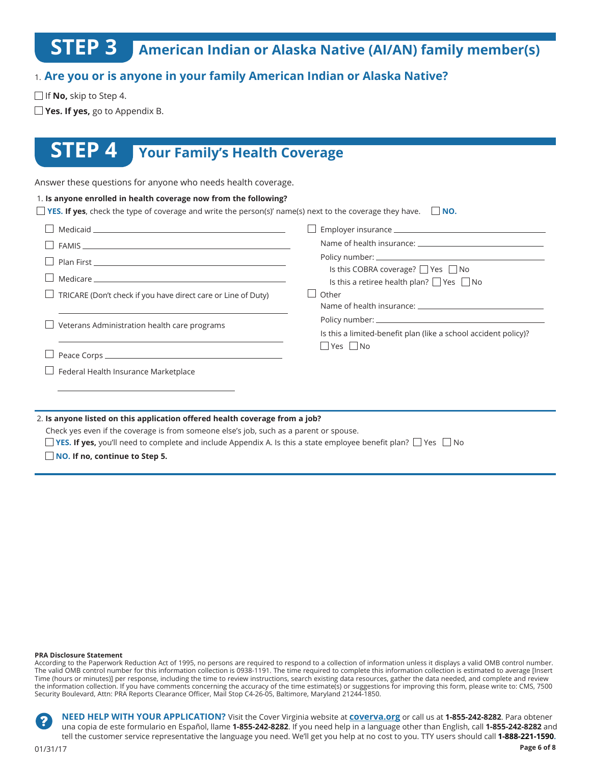# **STEP 3 American Indian or Alaska Native (AI/AN) family member(s)**

### 1. **Are you or is anyone in your family American Indian or Alaska Native?**

 $\Box$  If **No,** skip to Step 4.

**Yes. If yes,** go to Appendix B.

## **STEP 4 Your Family's Health Coverage**

Answer these questions for anyone who needs health coverage.

|                                                                      | Is this COBRA coverage? $\Box$ Yes $\Box$ No<br>Is this a retiree health plan? $\Box$ Yes $\Box$ No |
|----------------------------------------------------------------------|-----------------------------------------------------------------------------------------------------|
| $\Box$ TRICARE (Don't check if you have direct care or Line of Duty) | Other                                                                                               |
|                                                                      |                                                                                                     |
| Veterans Administration health care programs                         | Is this a limited-benefit plan (like a school accident policy)?                                     |
|                                                                      | $\Box$ Yes $\Box$ No                                                                                |
| Federal Health Insurance Marketplace                                 |                                                                                                     |

#### 2. **Is anyone listed on this application offered health coverage from a job?**

Check yes even if the coverage is from someone else's job, such as a parent or spouse.

**YES. If yes,** you'll need to complete and include Appendix A. Is this a state employee benefit plan?  $\Box$  Yes  $\Box$  No

**NO. If no, continue to Step 5.**

#### **PRA Disclosure Statement**

According to the Paperwork Reduction Act of 1995, no persons are required to respond to a collection of information unless it displays a valid OMB control number. The valid OMB control number for this information collection is 0938-1191. The time required to complete this information collection is estimated to average [Insert Time (hours or minutes)] per response, including the time to review instructions, search existing data resources, gather the data needed, and complete and review the information collection. If you have comments concerning the accuracy of the time estimate(s) or suggestions for improving this form, please write to: CMS, 7500 Security Boulevard, Attn: PRA Reports Clearance Officer, Mail Stop C4-26-05, Baltimore, Maryland 21244-1850.

?

**NEED HELP WITH YOUR APPLICATION?** Visit the Cover Virginia website at **coverva.org** or call us at **1-855-242-8282**. Para obtener una copia de este formulario en Español, llame **1-855-242-8282**. If you need help in a language other than English, call **1-855-242-8282** and tell the customer service representative the language you need. We'll get you help at no cost to you. TTY users should call **1-888-221-1590.**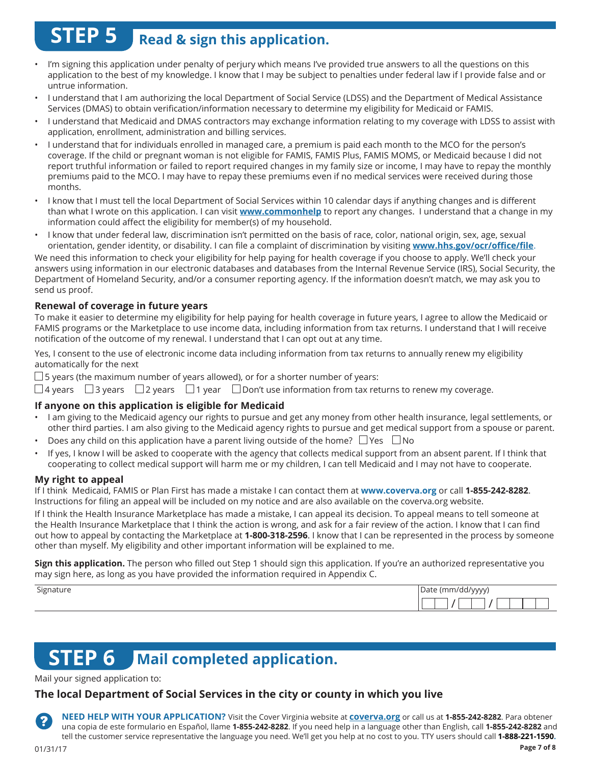# **STEP 5** Read & sign this application.

- I'm signing this application under penalty of perjury which means I've provided true answers to all the questions on this application to the best of my knowledge. I know that I may be subject to penalties under federal law if I provide false and or untrue information.
- I understand that I am authorizing the local Department of Social Service (LDSS) and the Department of Medical Assistance Services (DMAS) to obtain verification/information necessary to determine my eligibility for Medicaid or FAMIS.
- I understand that Medicaid and DMAS contractors may exchange information relating to my coverage with LDSS to assist with application, enrollment, administration and billing services.
- I understand that for individuals enrolled in managed care, a premium is paid each month to the MCO for the person's coverage. If the child or pregnant woman is not eligible for FAMIS, FAMIS Plus, FAMIS MOMS, or Medicaid because I did not report truthful information or failed to report required changes in my family size or income, I may have to repay the monthly premiums paid to the MCO. I may have to repay these premiums even if no medical services were received during those months.
- I know that I must tell the local Department of Social Services within 10 calendar days if anything changes and is different than what I wrote on this application. I can visit **www.commonhelp** to report any changes. I understand that a change in my information could affect the eligibility for member(s) of my household.
- I know that under federal law, discrimination isn't permitted on the basis of race, color, national origin, sex, age, sexual orientation, gender identity, or disability. I can file a complaint of discrimination by visiting **www.hhs.gov/ocr/office/file**.

We need this information to check your eligibility for help paying for health coverage if you choose to apply. We'll check your answers using information in our electronic databases and databases from the Internal Revenue Service (IRS), Social Security, the Department of Homeland Security, and/or a consumer reporting agency. If the information doesn't match, we may ask you to send us proof.

#### **Renewal of coverage in future years**

To make it easier to determine my eligibility for help paying for health coverage in future years, I agree to allow the Medicaid or FAMIS programs or the Marketplace to use income data, including information from tax returns. I understand that I will receive notification of the outcome of my renewal. I understand that I can opt out at any time.

Yes, I consent to the use of electronic income data including information from tax returns to annually renew my eligibility automatically for the next

 $\sqcup$  5 years (the maximum number of years allowed), or for a shorter number of years:

 $\Box$ 4 years  $\Box$ 3 years  $\Box$ 2 years  $\Box$ 1 year  $\Box$  Don't use information from tax returns to renew my coverage.

#### **If anyone on this application is eligible for Medicaid**

- I am giving to the Medicaid agency our rights to pursue and get any money from other health insurance, legal settlements, or other third parties. I am also giving to the Medicaid agency rights to pursue and get medical support from a spouse or parent.
- Does any child on this application have a parent living outside of the home?  $\Box$  Yes  $\Box$  No
- If yes, I know I will be asked to cooperate with the agency that collects medical support from an absent parent. If I think that cooperating to collect medical support will harm me or my children, I can tell Medicaid and I may not have to cooperate.

#### **My right to appeal**

If I think Medicaid, FAMIS or Plan First has made a mistake I can contact them at **www.coverva.org** or call **1-855-242-8282**. Instructions for filing an appeal will be included on my notice and are also available on the coverva.org website.

If I think the Health Insurance Marketplace has made a mistake, I can appeal its decision. To appeal means to tell someone at the Health Insurance Marketplace that I think the action is wrong, and ask for a fair review of the action. I know that I can find out how to appeal by contacting the Marketplace at **1-800-318-2596**. I know that I can be represented in the process by someone other than myself. My eligibility and other important information will be explained to me.

**Sign this application.** The person who filled out Step 1 should sign this application. If you're an authorized representative you may sign here, as long as you have provided the information required in Appendix C.

# **STEP 6 Mail completed application.**

Mail your signed application to:

#### **The local Department of Social Services in the city or county in which you live**

**NEED HELP WITH YOUR APPLICATION?** Visit the Cover Virginia website at **coverva.org** or call us at **1-855-242-8282**. Para obtener una copia de este formulario en Español, llame **1-855-242-8282**. If you need help in a language other than English, call **1-855-242-8282** and tell the customer service representative the language you need. We'll get you help at no cost to you. TTY users should call **1-888-221-1590.**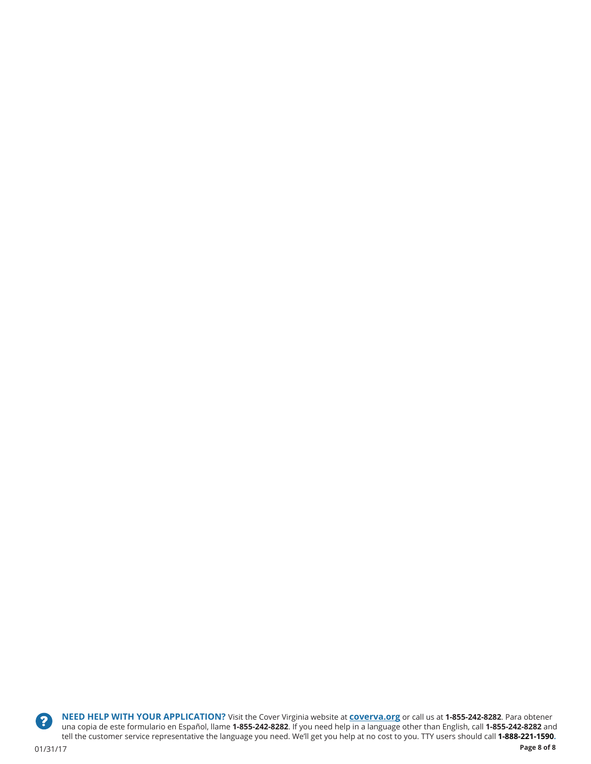**Page 8 of 8 NEED HELP WITH YOUR APPLICATION?** Visit the Cover Virginia website at **coverva.org** or call us at **1-855-242-8282**. Para obtener una copia de este formulario en Español, llame **1-855-242-8282**. If you need help in a language other than English, call **1-855-242-8282** and tell the customer service representative the language you need. We'll get you help at no cost to you. TTY users should call **1-888-221-1590.**

 $\mathbf{S}$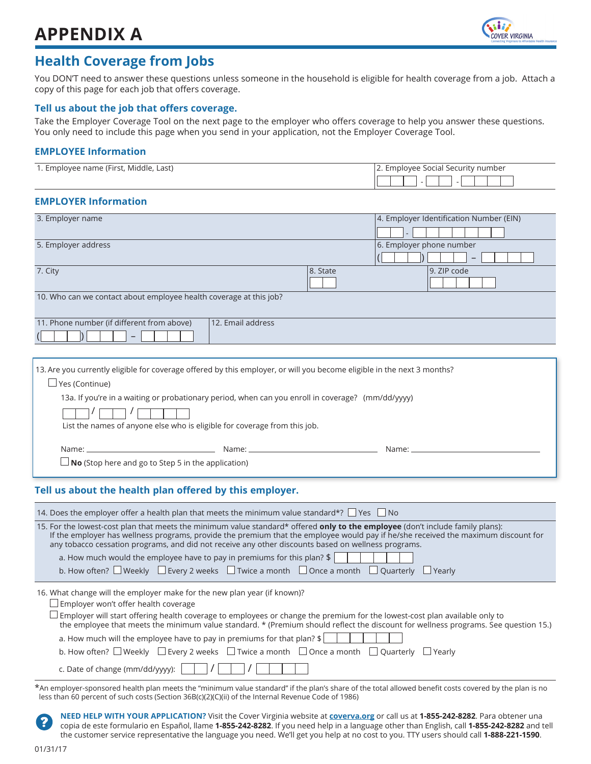

## **Health Coverage from Jobs**

You DON'T need to answer these questions unless someone in the household is eligible for health coverage from a job. Attach a copy of this page for each job that offers coverage.

#### **Tell us about the job that offers coverage.**

Take the Employer Coverage Tool on the next page to the employer who offers coverage to help you answer these questions. You only need to include this page when you send in your application, not the Employer Coverage Tool.

#### **EMPLOYEE Information**

| 1. Employee name (First, Middle, Last) | 2. Employee Social Security number |  |  |  |  |  |  |
|----------------------------------------|------------------------------------|--|--|--|--|--|--|
|                                        |                                    |  |  |  |  |  |  |

#### **EMPLOYER Information**

| 3. Employer name                                                   |          | 4. Employer Identification Number (EIN) |
|--------------------------------------------------------------------|----------|-----------------------------------------|
|                                                                    |          | $\overline{\phantom{a}}$                |
| 5. Employer address                                                |          | 6. Employer phone number                |
|                                                                    |          |                                         |
| 7. City                                                            | 8. State | 9. ZIP code                             |
|                                                                    |          |                                         |
| 10. Who can we contact about employee health coverage at this job? |          |                                         |
| 12. Email address<br>11. Phone number (if different from above)    |          |                                         |
| -                                                                  |          |                                         |
|                                                                    |          |                                         |

| $\Box$ Yes (Continue)                                                                             |  | 13. Are you currently eligible for coverage offered by this employer, or will you become eligible in the next 3 months? |  |  |  |  |  |
|---------------------------------------------------------------------------------------------------|--|-------------------------------------------------------------------------------------------------------------------------|--|--|--|--|--|
| 13a. If you're in a waiting or probationary period, when can you enroll in coverage? (mm/dd/yyyy) |  |                                                                                                                         |  |  |  |  |  |
|                                                                                                   |  |                                                                                                                         |  |  |  |  |  |
| List the names of anyone else who is eligible for coverage from this job.                         |  |                                                                                                                         |  |  |  |  |  |
|                                                                                                   |  | Name: when the contract of the contract of the contract of the contract of the contract of the contract of the          |  |  |  |  |  |
| $\log$ (Stop here and go to Step 5 in the application)                                            |  |                                                                                                                         |  |  |  |  |  |

#### **Tell us about the health plan offered by this employer.**

| 14. Does the employer offer a health plan that meets the minimum value standard*? $\Box$ Yes $\Box$ No                                                                                                                                                                                                                                                                                                                                                                                                                                                                                                                                            |  |  |
|---------------------------------------------------------------------------------------------------------------------------------------------------------------------------------------------------------------------------------------------------------------------------------------------------------------------------------------------------------------------------------------------------------------------------------------------------------------------------------------------------------------------------------------------------------------------------------------------------------------------------------------------------|--|--|
| 15. For the lowest-cost plan that meets the minimum value standard* offered <b>only to the employee</b> (don't include family plans):<br>If the employer has wellness programs, provide the premium that the employee would pay if he/she received the maximum discount for<br>any tobacco cessation programs, and did not receive any other discounts based on wellness programs.<br>a. How much would the employee have to pay in premiums for this plan? $\frac{1}{2}$                                                                                                                                                                         |  |  |
| b. How often? $\square$ Weekly $\square$ Every 2 weeks $\square$ Twice a month $\square$ Once a month $\square$ Quarterly $\square$ Yearly                                                                                                                                                                                                                                                                                                                                                                                                                                                                                                        |  |  |
| 16. What change will the employer make for the new plan year (if known)?<br>Employer won't offer health coverage<br>$\Box$ Employer will start offering health coverage to employees or change the premium for the lowest-cost plan available only to<br>the employee that meets the minimum value standard. * (Premium should reflect the discount for wellness programs. See question 15.)<br>a. How much will the employee have to pay in premiums for that plan? $\frac{1}{2}$<br>b. How often? $\Box$ Weekly $\Box$ Every 2 weeks $\Box$ Twice a month $\Box$ Once a month $\Box$ Quarterly $\Box$ Yearly<br>c. Date of change (mm/dd/yyyy): |  |  |
| $\star$ An ample we concerned bookby plan measter the flucturium way which atomaland if the plants desire of the total allowed beyond he after correred by several by the plants of a per                                                                                                                                                                                                                                                                                                                                                                                                                                                         |  |  |

An employer-sponsored health plan meets the "minimum value standard" if the plan's share of the total allowed benefit costs covered by the plan is no less than 60 percent of such costs (Section 36B(c)(2)(C)(ii) of the Internal Revenue Code of 1986)

**NEED HELP WITH YOUR APPLICATION?** Visit the Cover Virginia website at **coverva.org** or call us at **1-855-242-8282**. Para obtener una 7 copia de este formulario en Español, llame **1-855-242-8282**. If you need help in a language other than English, call **1-855-242-8282** and tell the customer service representative the language you need. We'll get you help at no cost to you. TTY users should call **1-888-221-1590**.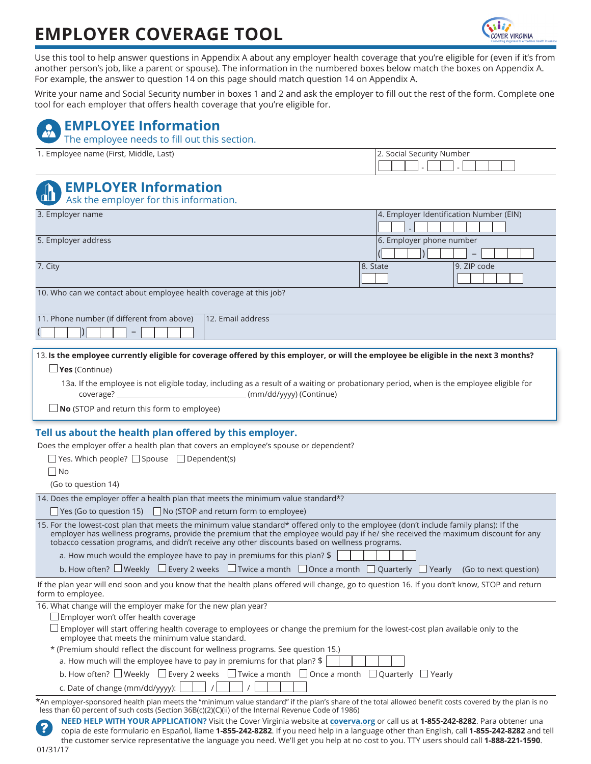# **EMPLOYER COVERAGE TOOL**



- -

Ī

Use this tool to help answer questions in Appendix A about any employer health coverage that you're eligible for (even if it's from another person's job, like a parent or spouse). The information in the numbered boxes below match the boxes on Appendix A. For example, the answer to question 14 on this page should match question 14 on Appendix A.

Write your name and Social Security number in boxes 1 and 2 and ask the employer to fill out the rest of the form. Complete one tool for each employer that offers health coverage that you're eligible for.

## **EMPLOYEE Information**

The employee needs to fill out this section.

1. Employee name (First, Middle, Last) 2. Social Security Number

# **EMPLOYER Information**

Ask the employer for this information.

| 3. Employer name                                                                                                                                                                                                                            | 4. Employer Identification Number (EIN) |  |
|---------------------------------------------------------------------------------------------------------------------------------------------------------------------------------------------------------------------------------------------|-----------------------------------------|--|
| 5. Employer address                                                                                                                                                                                                                         | 6. Employer phone number                |  |
| 7. City                                                                                                                                                                                                                                     | 8. State<br>9. ZIP code                 |  |
| 10. Who can we contact about employee health coverage at this job?                                                                                                                                                                          |                                         |  |
| 12. Email address<br>11. Phone number (if different from above)                                                                                                                                                                             |                                         |  |
| $\mathcal{A} \cap \mathcal{A}$ . The second contract of the contract of the contract of the contract of the contract of the contract of the contract of the contract of the contract of the contract of the contract of the contract of the |                                         |  |

13. Is the employee currently eligible for coverage offered by this employer, or will the employee be eligible in the next 3 months?

**Yes** (Continue)

01/31/17

13a. If the employee is not eligible today, including as a result of a waiting or probationary period, when is the employee eligible for coverage? (mm/dd/yyyy) (Continue)

**No** (STOP and return this form to employee)

#### **Tell us about the health plan offered by this employer.**

Does the employer offer a health plan that covers an employee's spouse or dependent?

| $\Box$ Yes. Which people? $\Box$ Spouse $\Box$ Dependent(s)                                                                                                                                                                                                                                                                                                                                                                             |
|-----------------------------------------------------------------------------------------------------------------------------------------------------------------------------------------------------------------------------------------------------------------------------------------------------------------------------------------------------------------------------------------------------------------------------------------|
| No.                                                                                                                                                                                                                                                                                                                                                                                                                                     |
| (Go to question 14)                                                                                                                                                                                                                                                                                                                                                                                                                     |
| 14. Does the employer offer a health plan that meets the minimum value standard*?                                                                                                                                                                                                                                                                                                                                                       |
| $\Box$ Yes (Go to question 15) $\Box$ No (STOP and return form to employee)                                                                                                                                                                                                                                                                                                                                                             |
| 15. For the lowest-cost plan that meets the minimum value standard* offered only to the employee (don't include family plans): If the<br>employer has wellness programs, provide the premium that the employee would pay if he/ she received the maximum discount for any<br>tobacco cessation programs, and didn't receive any other discounts based on wellness programs.                                                             |
| a. How much would the employee have to pay in premiums for this plan? \$                                                                                                                                                                                                                                                                                                                                                                |
| b. How often? $\Box$ Weekly $\Box$ Every 2 weeks $\Box$ Twice a month $\Box$ Once a month $\Box$ Quarterly $\Box$ Yearly (Go to next question)                                                                                                                                                                                                                                                                                          |
| If the plan year will end soon and you know that the health plans offered will change, go to question 16. If you don't know, STOP and return<br>form to employee.                                                                                                                                                                                                                                                                       |
| 16. What change will the employer make for the new plan year?                                                                                                                                                                                                                                                                                                                                                                           |
| $\Box$ Employer won't offer health coverage                                                                                                                                                                                                                                                                                                                                                                                             |
| $\Box$ Employer will start offering health coverage to employees or change the premium for the lowest-cost plan available only to the<br>employee that meets the minimum value standard.                                                                                                                                                                                                                                                |
| * (Premium should reflect the discount for wellness programs. See question 15.)                                                                                                                                                                                                                                                                                                                                                         |
| a. How much will the employee have to pay in premiums for that plan? $\frac{1}{2}$                                                                                                                                                                                                                                                                                                                                                      |
| b. How often? $\Box$ Weekly $\Box$ Every 2 weeks $\Box$ Twice a month $\Box$ Once a month $\Box$ Quarterly $\Box$ Yearly                                                                                                                                                                                                                                                                                                                |
| c. Date of change (mm/dd/yyyy):                                                                                                                                                                                                                                                                                                                                                                                                         |
| *An employer-sponsored health plan meets the "minimum value standard" if the plan's share of the total allowed benefit costs covered by the plan is no<br>less than 60 percent of such costs (Section 36B(c)(2)(C)(ii) of the Internal Revenue Code of 1986)                                                                                                                                                                            |
| NEED HELP WITH YOUR APPLICATION? Visit the Cover Virginia website at coverva.org or call us at 1-855-242-8282. Para obtener una<br>$\mathbf{?}$<br>copia de este formulario en Español, llame 1-855-242-8282. If you need help in a language other than English, call 1-855-242-8282 and tell<br>the customer service representative the language you need. We'll get you help at no cost to you. TTY users should call 1-888-221-1590. |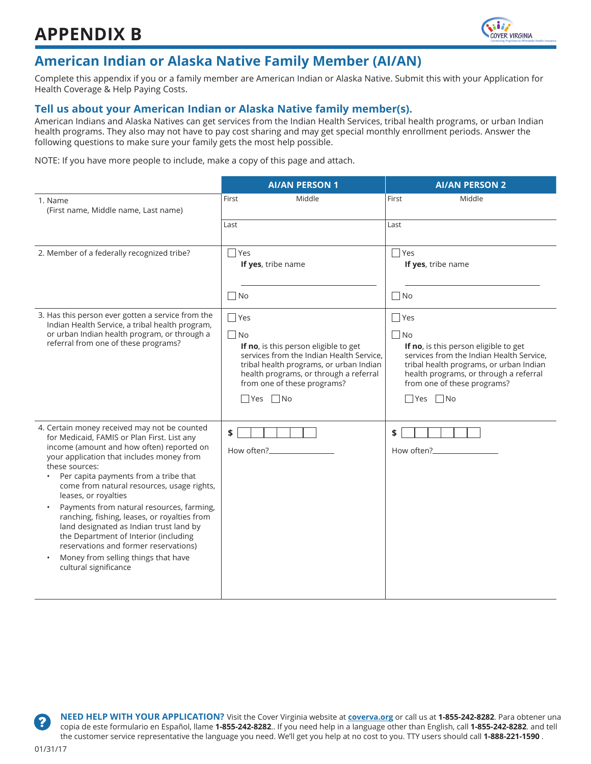

## **American Indian or Alaska Native Family Member (AI/AN)**

Complete this appendix if you or a family member are American Indian or Alaska Native. Submit this with your Application for Health Coverage & Help Paying Costs.

### **Tell us about your American Indian or Alaska Native family member(s).**

American Indians and Alaska Natives can get services from the Indian Health Services, tribal health programs, or urban Indian health programs. They also may not have to pay cost sharing and may get special monthly enrollment periods. Answer the following questions to make sure your family gets the most help possible.

NOTE: If you have more people to include, make a copy of this page and attach.

|                                                                                                                                                                                                                                                                                                                                                                                                                                                                                                                                                                                                                  | <b>AI/AN PERSON 1</b>                                                                                                                                                                                                                                    | <b>AI/AN PERSON 2</b>                                                                                                                                                                                                                                    |
|------------------------------------------------------------------------------------------------------------------------------------------------------------------------------------------------------------------------------------------------------------------------------------------------------------------------------------------------------------------------------------------------------------------------------------------------------------------------------------------------------------------------------------------------------------------------------------------------------------------|----------------------------------------------------------------------------------------------------------------------------------------------------------------------------------------------------------------------------------------------------------|----------------------------------------------------------------------------------------------------------------------------------------------------------------------------------------------------------------------------------------------------------|
| 1. Name<br>(First name, Middle name, Last name)                                                                                                                                                                                                                                                                                                                                                                                                                                                                                                                                                                  | Middle<br>First                                                                                                                                                                                                                                          | Middle<br>First                                                                                                                                                                                                                                          |
|                                                                                                                                                                                                                                                                                                                                                                                                                                                                                                                                                                                                                  | Last                                                                                                                                                                                                                                                     | Last                                                                                                                                                                                                                                                     |
| 2. Member of a federally recognized tribe?                                                                                                                                                                                                                                                                                                                                                                                                                                                                                                                                                                       | $\Box$ Yes<br>If yes, tribe name<br>$\sqcap$ No                                                                                                                                                                                                          | $\Box$ Yes<br>If yes, tribe name<br>$\Box$ No                                                                                                                                                                                                            |
| 3. Has this person ever gotten a service from the<br>Indian Health Service, a tribal health program,<br>or urban Indian health program, or through a<br>referral from one of these programs?                                                                                                                                                                                                                                                                                                                                                                                                                     | $\Box$ Yes<br>$\Box$ No<br>If no, is this person eligible to get<br>services from the Indian Health Service,<br>tribal health programs, or urban Indian<br>health programs, or through a referral<br>from one of these programs?<br>$\Box$ Yes $\Box$ No | $\Box$ Yes<br>$\Box$ No<br>If no, is this person eligible to get<br>services from the Indian Health Service,<br>tribal health programs, or urban Indian<br>health programs, or through a referral<br>from one of these programs?<br>$\Box$ Yes $\Box$ No |
| 4. Certain money received may not be counted<br>for Medicaid, FAMIS or Plan First. List any<br>income (amount and how often) reported on<br>your application that includes money from<br>these sources:<br>Per capita payments from a tribe that<br>come from natural resources, usage rights,<br>leases, or royalties<br>Payments from natural resources, farming,<br>ranching, fishing, leases, or royalties from<br>land designated as Indian trust land by<br>the Department of Interior (including<br>reservations and former reservations)<br>Money from selling things that have<br>cultural significance | \$<br>How often?                                                                                                                                                                                                                                         | \$<br>How often?                                                                                                                                                                                                                                         |

**NEED HELP WITH YOUR APPLICATION?** Visit the Cover Virginia website at **coverva.org** or call us at **1-855-242-8282**. Para obtener una copia de este formulario en Español, llame **1-855-242-8282**.. If you need help in a language other than English, call **1-855-242-8282**. and tell the customer service representative the language you need. We'll get you help at no cost to you. TTY users should call **1-888-221-1590** .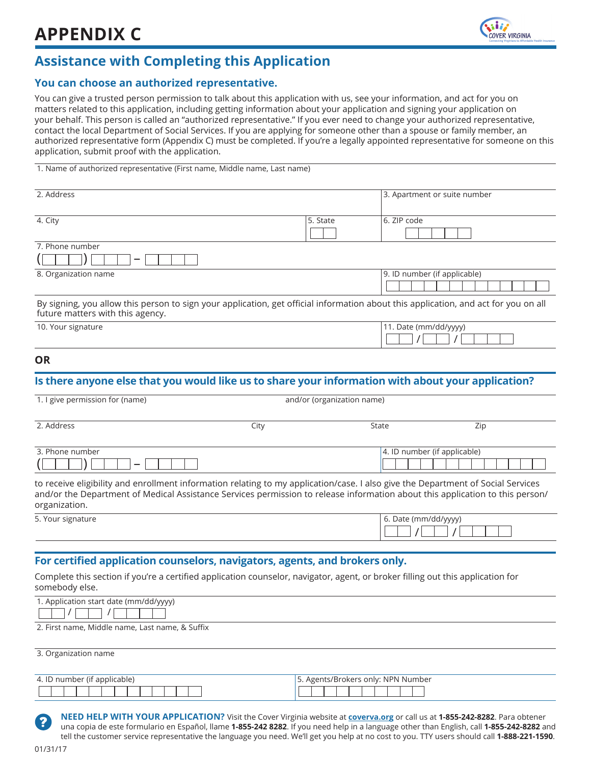

## **Assistance with Completing this Application**

#### **You can choose an authorized representative.**

You can give a trusted person permission to talk about this application with us, see your information, and act for you on matters related to this application, including getting information about your application and signing your application on your behalf. This person is called an "authorized representative." If you ever need to change your authorized representative, contact the local Department of Social Services. If you are applying for someone other than a spouse or family member, an authorized representative form (Appendix C) must be completed. If you're a legally appointed representative for someone on this application, submit proof with the application.

1. Name of authorized representative (First name, Middle name, Last name)

| 2. Address                                                                                                                                                              |          | 3. Apartment or suite number |
|-------------------------------------------------------------------------------------------------------------------------------------------------------------------------|----------|------------------------------|
|                                                                                                                                                                         |          |                              |
| 4. City                                                                                                                                                                 | 5. State | 6. ZIP code                  |
|                                                                                                                                                                         |          |                              |
| 7. Phone number                                                                                                                                                         |          |                              |
|                                                                                                                                                                         |          |                              |
| 8. Organization name                                                                                                                                                    |          | 9. ID number (if applicable) |
|                                                                                                                                                                         |          |                              |
| By signing, you allow this person to sign your application, get official information about this application, and act for you on all<br>future matters with this agency. |          |                              |

| $\check{ }$        |                       |
|--------------------|-----------------------|
| 10. Your signature | 11. Date (mm/dd/yyyy) |
|                    |                       |

#### **OR**

### **Is there anyone else that you would like us to share your information with about your application?**

| 1. I give permission for (name)                                                                                                                                                                                                                                                                                                                                                                                                                              |      |                              | and/or (organization name) |  |  |
|--------------------------------------------------------------------------------------------------------------------------------------------------------------------------------------------------------------------------------------------------------------------------------------------------------------------------------------------------------------------------------------------------------------------------------------------------------------|------|------------------------------|----------------------------|--|--|
| 2. Address                                                                                                                                                                                                                                                                                                                                                                                                                                                   | City | State                        | Zip                        |  |  |
| 3. Phone number                                                                                                                                                                                                                                                                                                                                                                                                                                              |      | 4. ID number (if applicable) |                            |  |  |
| $\mathcal{L} = \mathcal{L} = \mathcal{L} = \mathcal{L} = \mathcal{L} = \mathcal{L} = \mathcal{L} = \mathcal{L} = \mathcal{L} = \mathcal{L} = \mathcal{L} = \mathcal{L} = \mathcal{L} = \mathcal{L} = \mathcal{L} = \mathcal{L} = \mathcal{L} = \mathcal{L} = \mathcal{L} = \mathcal{L} = \mathcal{L} = \mathcal{L} = \mathcal{L} = \mathcal{L} = \mathcal{L} = \mathcal{L} = \mathcal{L} = \mathcal{L} = \mathcal{L} = \mathcal{L} = \mathcal{L} = \mathcal$ |      |                              |                            |  |  |

to receive eligibility and enrollment information relating to my application/case. I also give the Department of Social Services and/or the Department of Medical Assistance Services permission to release information about this application to this person/ organization.

| 5. Your signature | 6. Date (mm/dd/yyyy) |
|-------------------|----------------------|
|                   |                      |
|                   |                      |

#### **For certified application counselors, navigators, agents, and brokers only.**

Complete this section if you're a certified application counselor, navigator, agent, or broker filling out this application for somebody else.

| 1. Application start date (mm/dd/yyyy) |  |  |
|----------------------------------------|--|--|
|                                        |  |  |

2. First name, Middle name, Last name, & Suffix

3. Organization name

| 4. ID<br>number (if applicable) * | . Agents/Brokers only: NPN Number |
|-----------------------------------|-----------------------------------|
|                                   |                                   |



**NEED HELP WITH YOUR APPLICATION?** Visit the Cover Virginia website at **coverva.org** or call us at **1-855-242-8282**. Para obtener una copia de este formulario en Español, llame **1-855-242 8282**. If you need help in a language other than English, call **1-855-242-8282** and tell the customer service representative the language you need. We'll get you help at no cost to you. TTY users should call **1-888-221-1590**.